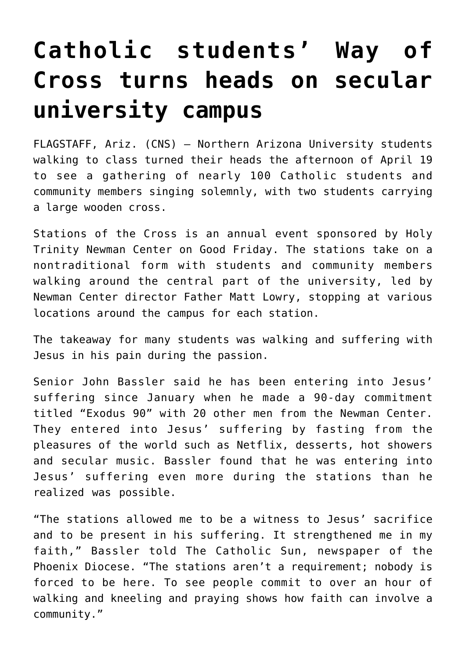## **[Catholic students' Way of](https://www.osvnews.com/amp/2019/04/23/catholic-students-way-of-cross-turns-heads-on-secular-university-campus/) [Cross turns heads on secular](https://www.osvnews.com/amp/2019/04/23/catholic-students-way-of-cross-turns-heads-on-secular-university-campus/) [university campus](https://www.osvnews.com/amp/2019/04/23/catholic-students-way-of-cross-turns-heads-on-secular-university-campus/)**

FLAGSTAFF, Ariz. (CNS) — Northern Arizona University students walking to class turned their heads the afternoon of April 19 to see a gathering of nearly 100 Catholic students and community members singing solemnly, with two students carrying a large wooden cross.

Stations of the Cross is an annual event sponsored by Holy Trinity Newman Center on Good Friday. The stations take on a nontraditional form with students and community members walking around the central part of the university, led by Newman Center director Father Matt Lowry, stopping at various locations around the campus for each station.

The takeaway for many students was walking and suffering with Jesus in his pain during the passion.

Senior John Bassler said he has been entering into Jesus' suffering since January when he made a 90-day commitment titled "Exodus 90" with 20 other men from the Newman Center. They entered into Jesus' suffering by fasting from the pleasures of the world such as Netflix, desserts, hot showers and secular music. Bassler found that he was entering into Jesus' suffering even more during the stations than he realized was possible.

"The stations allowed me to be a witness to Jesus' sacrifice and to be present in his suffering. It strengthened me in my faith," Bassler told The Catholic Sun, newspaper of the Phoenix Diocese. "The stations aren't a requirement; nobody is forced to be here. To see people commit to over an hour of walking and kneeling and praying shows how faith can involve a community."